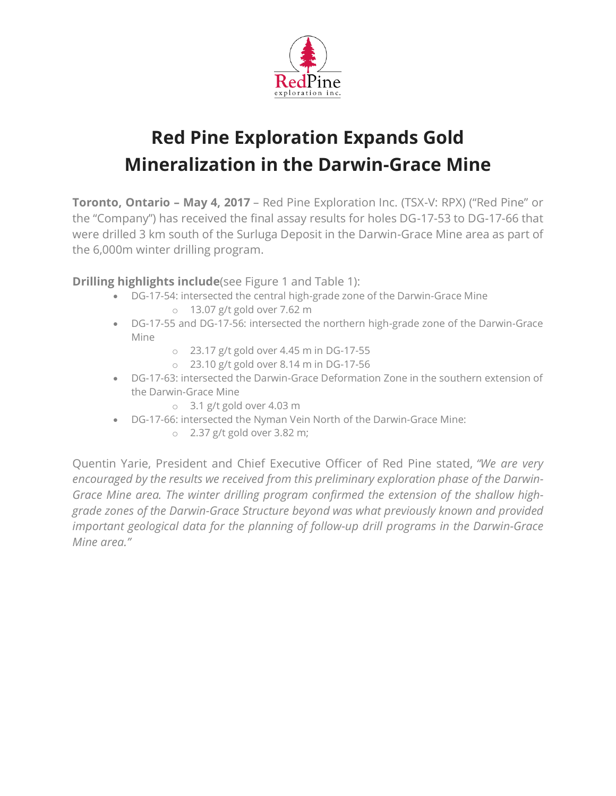

# **Red Pine Exploration Expands Gold Mineralization in the Darwin-Grace Mine**

**Toronto, Ontario – May 4, 2017** – Red Pine Exploration Inc. (TSX-V: RPX) ("Red Pine" or the "Company") has received the final assay results for holes DG-17-53 to DG-17-66 that were drilled 3 km south of the Surluga Deposit in the Darwin-Grace Mine area as part of the 6,000m winter drilling program.

**Drilling highlights include**(see Figure 1 and Table 1):

- DG-17-54: intersected the central high-grade zone of the Darwin-Grace Mine o 13.07 g/t gold over 7.62 m
- DG-17-55 and DG-17-56: intersected the northern high-grade zone of the Darwin-Grace Mine
	- o 23.17 g/t gold over 4.45 m in DG-17-55
	- o 23.10 g/t gold over 8.14 m in DG-17-56
- DG-17-63: intersected the Darwin-Grace Deformation Zone in the southern extension of the Darwin-Grace Mine
	- o 3.1 g/t gold over 4.03 m
- DG-17-66: intersected the Nyman Vein North of the Darwin-Grace Mine:
	- o 2.37 g/t gold over 3.82 m;

Quentin Yarie, President and Chief Executive Officer of Red Pine stated, *"We are very encouraged by the results we received from this preliminary exploration phase of the Darwin-Grace Mine area. The winter drilling program confirmed the extension of the shallow highgrade zones of the Darwin-Grace Structure beyond was what previously known and provided important geological data for the planning of follow-up drill programs in the Darwin-Grace Mine area."*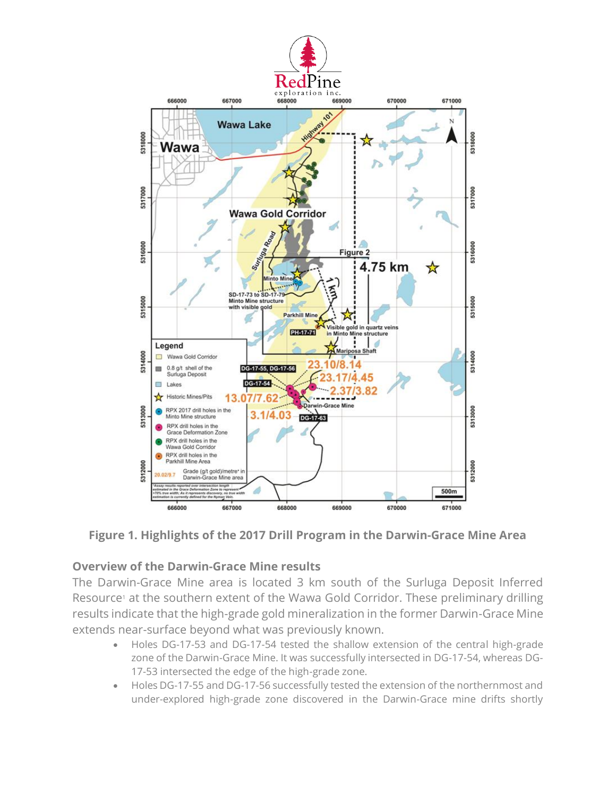

# **Figure 1. Highlights of the 2017 Drill Program in the Darwin-Grace Mine Area**

#### **Overview of the Darwin-Grace Mine results**

The Darwin-Grace Mine area is located 3 km south of the Surluga Deposit Inferred Resource<sup>1</sup> at the southern extent of the Wawa Gold Corridor. These preliminary drilling results indicate that the high-grade gold mineralization in the former Darwin-Grace Mine extends near-surface beyond what was previously known.

- Holes DG-17-53 and DG-17-54 tested the shallow extension of the central high-grade zone of the Darwin-Grace Mine. It was successfully intersected in DG-17-54, whereas DG-17-53 intersected the edge of the high-grade zone.
- Holes DG-17-55 and DG-17-56 successfully tested the extension of the northernmost and under-explored high-grade zone discovered in the Darwin-Grace mine drifts shortly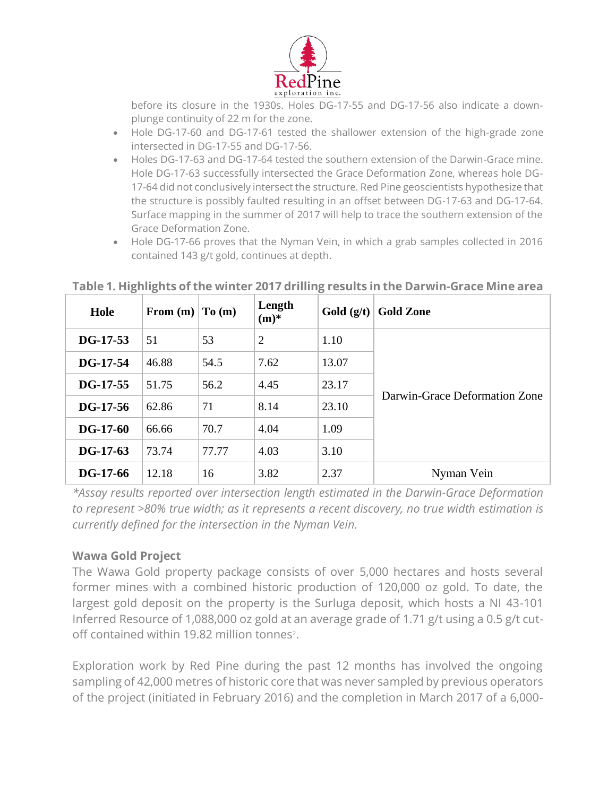

before its closure in the 1930s. Holes DG-17-55 and DG-17-56 also indicate a downplunge continuity of 22 m for the zone.

- Hole DG-17-60 and DG-17-61 tested the shallower extension of the high-grade zone intersected in DG-17-55 and DG-17-56.
- Holes DG-17-63 and DG-17-64 tested the southern extension of the Darwin-Grace mine. Hole DG-17-63 successfully intersected the Grace Deformation Zone, whereas hole DG-17-64 did not conclusively intersect the structure. Red Pine geoscientists hypothesize that the structure is possibly faulted resulting in an offset between DG-17-63 and DG-17-64. Surface mapping in the summer of 2017 will help to trace the southern extension of the Grace Deformation Zone.
- Hole DG-17-66 proves that the Nyman Vein, in which a grab samples collected in 2016 contained 143 g/t gold, continues at depth.

| Hole       | From $(m)$ | To(m) | Length<br>$(m)^*$ | Gold $(g/t)$ | <b>Gold Zone</b>              |
|------------|------------|-------|-------------------|--------------|-------------------------------|
| $DG-17-53$ | 51         | 53    | 2                 | 1.10         | Darwin-Grace Deformation Zone |
| DG-17-54   | 46.88      | 54.5  | 7.62              | 13.07        |                               |
| $DG-17-55$ | 51.75      | 56.2  | 4.45              | 23.17        |                               |
| $DG-17-56$ | 62.86      | 71    | 8.14              | 23.10        |                               |
| $DG-17-60$ | 66.66      | 70.7  | 4.04              | 1.09         |                               |
| $DG-17-63$ | 73.74      | 77.77 | 4.03              | 3.10         |                               |
| $DG-17-66$ | 12.18      | 16    | 3.82              | 2.37         | Nyman Vein                    |

## **Table 1. Highlights of the winter 2017 drilling results in the Darwin-Grace Mine area**

*\*Assay results reported over intersection length estimated in the Darwin-Grace Deformation to represent >80% true width; as it represents a recent discovery, no true width estimation is currently defined for the intersection in the Nyman Vein.*

#### **Wawa Gold Project**

The Wawa Gold property package consists of over 5,000 hectares and hosts several former mines with a combined historic production of 120,000 oz gold. To date, the largest gold deposit on the property is the Surluga deposit, which hosts a NI 43-101 Inferred Resource of 1,088,000 oz gold at an average grade of 1.71 g/t using a 0.5 g/t cutoff contained within 19.82 million tonnes<sup>2</sup>.

Exploration work by Red Pine during the past 12 months has involved the ongoing sampling of 42,000 metres of historic core that was never sampled by previous operators of the project (initiated in February 2016) and the completion in March 2017 of a 6,000-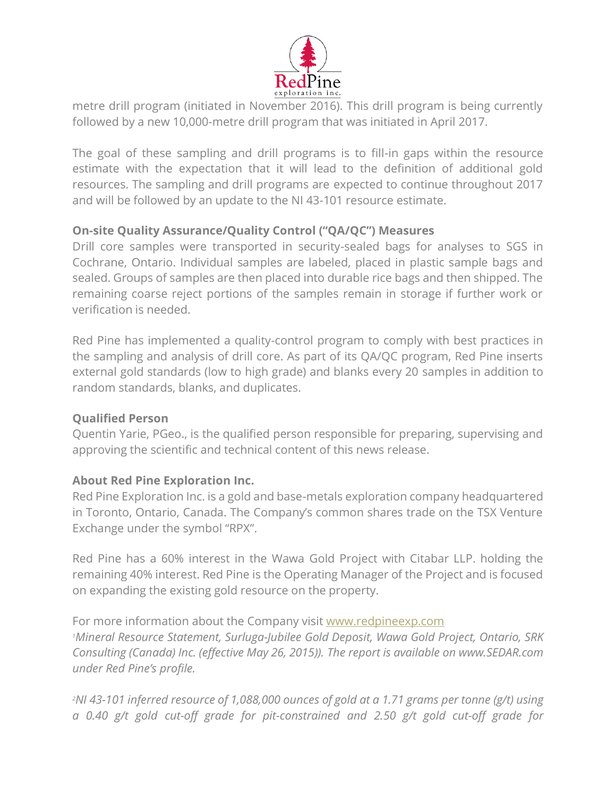

metre drill program (initiated in November 2016). This drill program is being currently followed by a new 10,000-metre drill program that was initiated in April 2017.

The goal of these sampling and drill programs is to fill-in gaps within the resource estimate with the expectation that it will lead to the definition of additional gold resources. The sampling and drill programs are expected to continue throughout 2017 and will be followed by an update to the NI 43-101 resource estimate.

## **On-site Quality Assurance/Quality Control ("QA/QC") Measures**

Drill core samples were transported in security-sealed bags for analyses to SGS in Cochrane, Ontario. Individual samples are labeled, placed in plastic sample bags and sealed. Groups of samples are then placed into durable rice bags and then shipped. The remaining coarse reject portions of the samples remain in storage if further work or verification is needed.

Red Pine has implemented a quality-control program to comply with best practices in the sampling and analysis of drill core. As part of its QA/QC program, Red Pine inserts external gold standards (low to high grade) and blanks every 20 samples in addition to random standards, blanks, and duplicates.

#### **Qualified Person**

Quentin Yarie, PGeo., is the qualified person responsible for preparing, supervising and approving the scientific and technical content of this news release.

#### **About Red Pine Exploration Inc.**

Red Pine Exploration Inc. is a gold and base-metals exploration company headquartered in Toronto, Ontario, Canada. The Company's common shares trade on the TSX Venture Exchange under the symbol "RPX".

Red Pine has a 60% interest in the Wawa Gold Project with Citabar LLP. holding the remaining 40% interest. Red Pine is the Operating Manager of the Project and is focused on expanding the existing gold resource on the property.

For more information about the Company visit [www.redpineexp.com](http://www.redpineexp.com/) *<sup>1</sup>Mineral Resource Statement, Surluga-Jubilee Gold Deposit, Wawa Gold Project, Ontario, SRK Consulting (Canada) Inc. (effective May 26, 2015)). The report is available on www.SEDAR.com under Red Pine's profile.*

*<sup>2</sup>NI 43-101 inferred resource of 1,088,000 ounces of gold at a 1.71 grams per tonne (g/t) using a 0.40 g/t gold cut-off grade for pit-constrained and 2.50 g/t gold cut-off grade for*